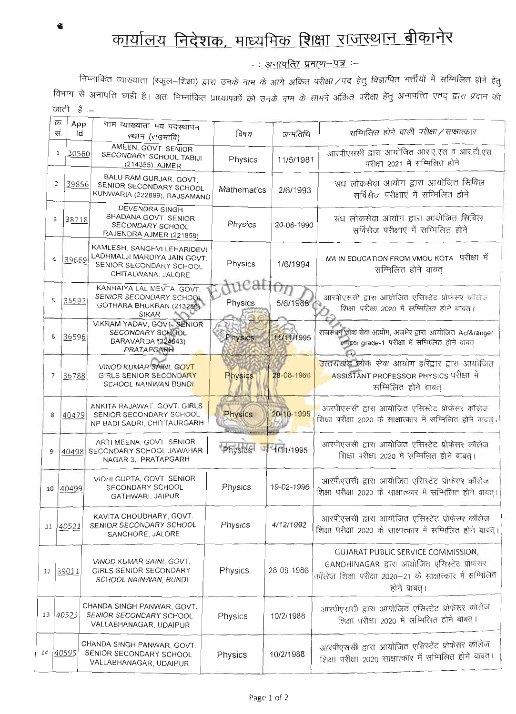## कार्यालय निदेशक, माध्यमिक शिक्षा राजस्थान बीकानेर

–ः अनापत्ति प्रमाण–पत्र :–

निम्नाकित व्याख्याता (स्कूल–शिक्षा) द्वारा उनके नाम के आगे अंकित परीक्षा ⁄ पद हेतु विज्ञापित भर्त्तीयों में सम्मिलित होने हेतु विभाग से अनापत्ति चाही है। अतः निम्नांकित प्राध्यापकों को उनके नाम के सामने अंकित परीक्षा हेतु अनापत्त्ति एतद् द्वारा प्रदान की जाती है :-

|    | क्र.<br>App |    | नाम व्याख्याता मय पदस्थापन                                                                                   |                 |                |                                                                                                                                                               |
|----|-------------|----|--------------------------------------------------------------------------------------------------------------|-----------------|----------------|---------------------------------------------------------------------------------------------------------------------------------------------------------------|
|    | सं.         | Id | स्थान (राउमावि)                                                                                              | विषय            | जन्मतिथि       | सम्मिलित होने वाली परीक्षा / साक्षात्कार                                                                                                                      |
|    | 1<br>30560  |    | AMEEN, GOVT, SENIOR<br>SECONDARY SCHOOL TABIJI<br>(214355), AJMER                                            | Physics         | 11/5/1981      | आरपीएससी द्वारा आयोजित आर.ए.एस व आर.टी.एस.<br>परीक्षा 2021 में सम्मिलित होने                                                                                  |
|    | 2<br>39856  |    | BALU RAM GURJAR, GOVT.<br>SENIOR SECONDARY SCHOOL<br>KUNWARIA (222899), RAJSAMAND                            | Mathematics     | 2/6/1993       | संध लोकसेवा आयोग द्वारा आयोजित सिविल<br>सर्विसेज परीक्षाएं में सम्मिलित होने                                                                                  |
|    | 3<br>38718  |    | DEVENDRA SINGH<br>BHADANA GOVT. SENIOR<br>SECONDARY SCHOOL<br>RAJENDRA AJMER (221859)                        | Physics         | 20-08-1990     | संध लोकसेवा आयोग द्वारा आयोजित सिविल<br>सर्विसेज परीक्षाएं में सम्मिलित होने                                                                                  |
|    | 4<br>39669  |    | KAMLESH, SANGHVI LEHARIDEVI<br>LADHMALJI MARDIYA JAIN GOVT.<br>SENIOR SECONDARY SCHOOL<br>CHITALWANA, JALORE | Physics         | 1/6/1994       | परीक्षा में<br>MA IN EDUCATION FROM VMOU KOTA<br>सम्मिलित होने बाबत                                                                                           |
| 5  | 35592       |    | KANHAIYA LAL MEVTA, GOVT.<br>SENIOR SECONDARY SCHOOL<br>GOTHARA BHUKRAN (213286)<br><b>SIKAR</b>             | tuca<br>Physics | Uη<br>5/6/1988 | आरपीएससी द्वारा आयोजित एसिस्टेंट प्रोफंसर कॉलेज<br>शिक्षा परीक्षा 2020 में सम्मिलित होने बाबत।                                                                |
| 6  | 36596       |    | <b>VIKRAM YADAV, GOVT, SENIOR</b><br>SECONDARY SCHOOL<br>BARAVARDA (224843)<br><b>PRATAPGARH</b>             | Physics         | 11/11/1995     | राजस्थान लोक सेवा आयोग, अजमेर द्वारा आयोजित Acf&ranger<br>र्णाडer grade-1 परीक्षा में सम्मिलित होने बाबत                                                      |
| 7  | 36788       |    | VINOD KUMAR SAINI, GOVT.<br>GIRLS SENIOR SECONDARY<br><b>SCHOOL NAINWAN BUNDI</b>                            | <b>Physics</b>  | 28-08-1986     | <mark>उत्तराखंड लोक सेवा आयोग हरिद्वार द्वारा आयोजित</mark><br>ASSISTANT PROFESSOR PHYSICS परीक्षा में<br>सम्मिलित होने बाबत                                  |
| 8  | 40479       |    | ANKITA RAJAWAT, GOVT. GIRLS<br>SENIOR SECONDARY SCHOOL<br>NP BADI SADRI, CHITTAURGARH                        | Physics         | 20-10-1995     | आरपीएससी द्वारा आयोजित एसिस्टेंट प्रोफेसर कॉलेज<br>शिक्षा परीक्षा 2020 के साक्षात्कार में सम्मिलित होने वाबत।                                                 |
| 9  |             |    | ARTI MEENA, GOVT. SENIOR<br>40498 SECONDARY SCHOOL JAWAHAR<br>NAGAR 3. PRATAPGARH                            | Physics         | 1/11/1995      | आरपीएससी द्वारा आयोजित एसिस्टेंट प्रोफेंसर कॉलेज<br>शिक्षा परीक्षा 2020 में सम्मिलित होने बाबत।                                                               |
| 10 | 40499       |    | VIDHI GUPTA, GOVT. SENIOR<br>SECONDARY SCHOOL<br>GATHWARI, JAIPUR                                            | Physics         | 19-02-1996     | आरपीएससी द्वारा आयोजित एसिस्टेंट प्रोफेसर कॉलेज<br>शिक्षा परीक्षा 2020 के साक्षात्कार में सम्मिलित होने वाबत् ।                                               |
|    | 11 40521    |    | KAVITA CHOUDHARY, GOVT.<br>SENIOR SECONDARY SCHOOL<br>SANCHORE, JALORE                                       | Physics         | 4/12/1992      | आरपीएससी द्वारा आयोजित एसिस्टेंट प्रोफेसर कॉलेज<br>शिक्षा परीक्षा 2020 के साक्षात्कार में सम्मिलित होने बाबत्।                                                |
|    | 12 39011    |    | VINOD KUMAR SAINI, GOVT.<br>GIRLS SENIOR SECONDARY<br>SCHOOL NAINWAN, BUNDI                                  | Physics         | 28-08-1986     | GUJARAT PUBLIC SERVICE COMMISSION,<br>GANDHINAGAR द्वारा आयोजित एसिस्टेंट प्रोफंसर<br>कॉलेज शिक्षा परीक्षा 2020–21 के साक्षात्कार में सम्मिलित<br>होने बाबत्। |
| 13 | 40525       |    | CHANDA SINGH PANWAR, GOVT.<br>SENIOR SECONDARY SCHOOL<br>VALLABHANAGAR, UDAIPUR                              | Physics         | 10/2/1988      | आरपीएससी हारा आयोजित एसिस्टेंट प्रोफेसर कॉलेज<br>शिक्षा परीक्षा 2020 में सम्मिलित होने बाबत् ।                                                                |
| 14 | 40595       |    | CHANDA SINGH PANWAR, GOVT.<br>SENIOR SECONDARY SCHOOL<br>VALLABHANAGAR, UDAIPUR                              | Physics         | 10/2/1988      | आरपीएससी द्वारा आयोजित एसिस्टेंट प्रोफेसर कॉलेज<br>शिक्षा परीक्षा 2020 साक्षात्कार में सम्मिलित होने बावत्।                                                   |